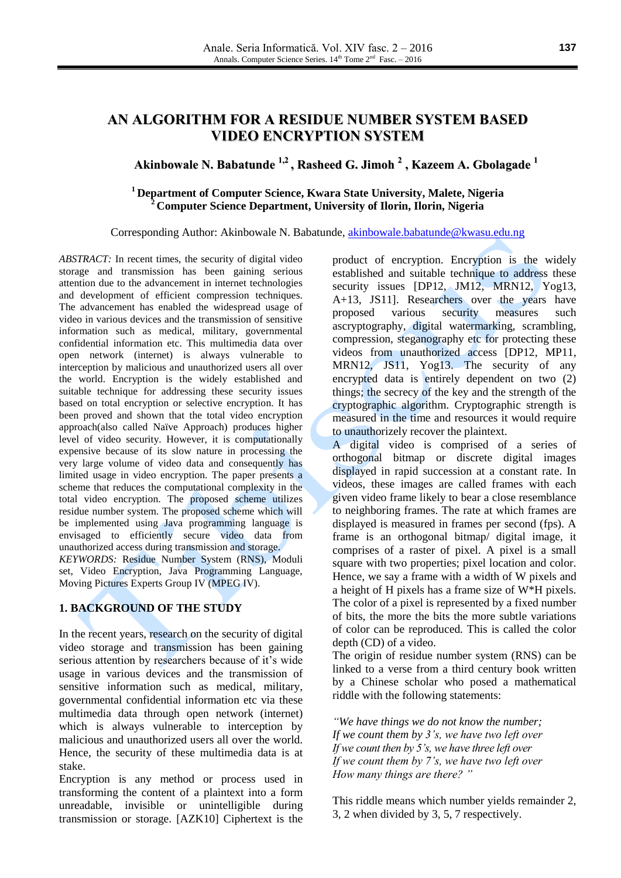# **AN ALGORITHM FOR A RESIDUE NUMBER SYSTEM BASED VIDEO ENCRYPTION SYSTEM**

# **Akinbowale N. Babatunde 1,2 , Rasheed G. Jimoh 2 , Kazeem A. Gbolagade 1**

### **<sup>1</sup>Department of Computer Science, Kwara State University, Malete, Nigeria <sup>2</sup>Computer Science Department, University of Ilorin, Ilorin, Nigeria**

#### Corresponding Author: Akinbowale N. Babatunde, [akinbowale.babatunde@kwasu.edu.ng](mailto:akinbowale.babatunde@kwasu.edu.ng)

*ABSTRACT:* In recent times, the security of digital video storage and transmission has been gaining serious attention due to the advancement in internet technologies and development of efficient compression techniques. The advancement has enabled the widespread usage of video in various devices and the transmission of sensitive information such as medical, military, governmental confidential information etc. This multimedia data over open network (internet) is always vulnerable to interception by malicious and unauthorized users all over the world. Encryption is the widely established and suitable technique for addressing these security issues based on total encryption or selective encryption. It has been proved and shown that the total video encryption approach(also called Naïve Approach) produces higher level of video security. However, it is computationally expensive because of its slow nature in processing the very large volume of video data and consequently has limited usage in video encryption. The paper presents a scheme that reduces the computational complexity in the total video encryption. The proposed scheme utilizes residue number system. The proposed scheme which will be implemented using Java programming language is envisaged to efficiently secure video data from unauthorized access during transmission and storage. *KEYWORDS:* Residue Number System (RNS), Moduli set, Video Encryption, Java Programming Language, Moving Pictures Experts Group IV (MPEG IV).

#### **1. BACKGROUND OF THE STUDY**

In the recent years, research on the security of digital video storage and transmission has been gaining serious attention by researchers because of it's wide usage in various devices and the transmission of sensitive information such as medical, military, governmental confidential information etc via these multimedia data through open network (internet) which is always vulnerable to interception by malicious and unauthorized users all over the world. Hence, the security of these multimedia data is at stake.

Encryption is any method or process used in transforming the content of a plaintext into a form unreadable, invisible or unintelligible during transmission or storage. [AZK10] Ciphertext is the product of encryption. Encryption is the widely established and suitable technique to address these security issues [DP12, JM12, MRN12, Yog13, A+13, JS11]. Researchers over the years have proposed various security measures such ascryptography, digital watermarking, scrambling, compression, steganography etc for protecting these videos from unauthorized access [DP12, MP11, MRN12, JS11, Yog13. The security of any encrypted data is entirely dependent on two (2) things; the secrecy of the key and the strength of the cryptographic algorithm. Cryptographic strength is measured in the time and resources it would require to unauthorizely recover the plaintext.

A digital video is comprised of a series of orthogonal bitmap or discrete digital images displayed in rapid succession at a constant rate. In videos, these images are called frames with each given video frame likely to bear a close resemblance to neighboring frames. The rate at which frames are displayed is measured in frames per second (fps). A frame is an orthogonal bitmap/ digital image, it comprises of a raster of pixel. A pixel is a small square with two properties; pixel location and color. Hence, we say a frame with a width of W pixels and a height of H pixels has a frame size of W\*H pixels. The color of a pixel is represented by a fixed number of bits, the more the bits the more subtle variations of color can be reproduced. This is called the color depth (CD) of a video.

The origin of residue number system (RNS) can be linked to a verse from a third century book written by a Chinese scholar who posed a mathematical riddle with the following statements:

*"We have things we do not know the number; If we count them by 3's, we have two left over If we count then by 5's, we have three left over If we count them by 7's, we have two left over How many things are there? "*

This riddle means which number yields remainder 2, 3, 2 when divided by 3, 5, 7 respectively.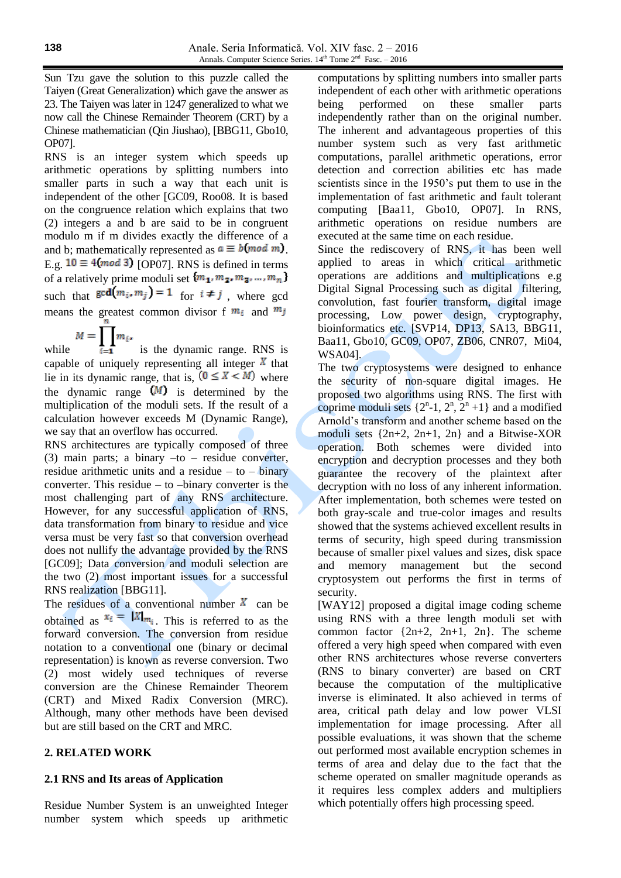Sun Tzu gave the solution to this puzzle called the Taiyen (Great Generalization) which gave the answer as 23. The Taiyen was later in 1247 generalized to what we now call the Chinese Remainder Theorem (CRT) by a Chinese mathematician (Qin Jiushao), [BBG11, Gbo10, OP07].

RNS is an integer system which speeds up arithmetic operations by splitting numbers into smaller parts in such a way that each unit is independent of the other [GC09, Roo08. It is based on the congruence relation which explains that two (2) integers a and b are said to be in congruent modulo m if m divides exactly the difference of a and b; mathematically represented as  $a \equiv b \pmod{m}$ . E.g.  $10 \equiv 4 \pmod{3}$  [OP07]. RNS is defined in terms of a relatively prime moduli set  $\{m_1, m_2, m_3, ..., m_n\}$ such that  $\gcd(m_i, m_j) = 1$  for  $i \neq j$ , where gcd means the greatest common divisor f  $m_i$  and  $m_j$ 

while  $M = \prod_{i=1}^{n} m_i$ , is the dynamic range. RNS is capable of uniquely representing all integer  $X$  that lie in its dynamic range, that is,  $(0 \le X \le M)$  where the dynamic range  $(M)$  is determined by the multiplication of the moduli sets. If the result of a calculation however exceeds M (Dynamic Range), we say that an overflow has occurred.

RNS architectures are typically composed of three (3) main parts; a binary –to – residue converter, residue arithmetic units and a residue  $-$  to  $-$  binary converter. This residue – to –binary converter is the most challenging part of any RNS architecture. However, for any successful application of RNS, data transformation from binary to residue and vice versa must be very fast so that conversion overhead does not nullify the advantage provided by the RNS [GC09]; Data conversion and moduli selection are the two (2) most important issues for a successful RNS realization [BBG11].

The residues of a conventional number  $X$  can be obtained as  $x_i = |X|_{m_i}$ . This is referred to as the forward conversion. The conversion from residue notation to a conventional one (binary or decimal representation) is known as reverse conversion. Two (2) most widely used techniques of reverse conversion are the Chinese Remainder Theorem (CRT) and Mixed Radix Conversion (MRC). Although, many other methods have been devised but are still based on the CRT and MRC.

## **2. RELATED WORK**

### **2.1 RNS and Its areas of Application**

Residue Number System is an unweighted Integer number system which speeds up arithmetic computations by splitting numbers into smaller parts independent of each other with arithmetic operations being performed on these smaller parts independently rather than on the original number. The inherent and advantageous properties of this number system such as very fast arithmetic computations, parallel arithmetic operations, error detection and correction abilities etc has made scientists since in the 1950's put them to use in the implementation of fast arithmetic and fault tolerant computing [Baa11, Gbo10, OP07]. In RNS, arithmetic operations on residue numbers are executed at the same time on each residue.

Since the rediscovery of RNS, it has been well applied to areas in which critical arithmetic operations are additions and multiplications e.g Digital Signal Processing such as digital filtering, convolution, fast fourier transform, digital image processing, Low power design, cryptography, bioinformatics etc. [SVP14, DP13, SA13, BBG11, Baa11, Gbo10, GC09, OP07, ZB06, CNR07, Mi04, WSA04].

The two cryptosystems were designed to enhance the security of non-square digital images. He proposed two algorithms using RNS. The first with coprime moduli sets  $\{2^{n} - 1, 2^{n}, 2^{n} + 1\}$  and a modified Arnold's transform and another scheme based on the moduli sets {2n+2, 2n+1, 2n} and a Bitwise-XOR operation. Both schemes were divided into encryption and decryption processes and they both guarantee the recovery of the plaintext after decryption with no loss of any inherent information. After implementation, both schemes were tested on both gray-scale and true-color images and results showed that the systems achieved excellent results in terms of security, high speed during transmission because of smaller pixel values and sizes, disk space and memory management but the second cryptosystem out performs the first in terms of security.

[WAY12] proposed a digital image coding scheme using RNS with a three length moduli set with common factor  $\{2n+2, 2n+1, 2n\}$ . The scheme offered a very high speed when compared with even other RNS architectures whose reverse converters (RNS to binary converter) are based on CRT because the computation of the multiplicative inverse is eliminated. It also achieved in terms of area, critical path delay and low power VLSI implementation for image processing. After all possible evaluations, it was shown that the scheme out performed most available encryption schemes in terms of area and delay due to the fact that the scheme operated on smaller magnitude operands as it requires less complex adders and multipliers which potentially offers high processing speed.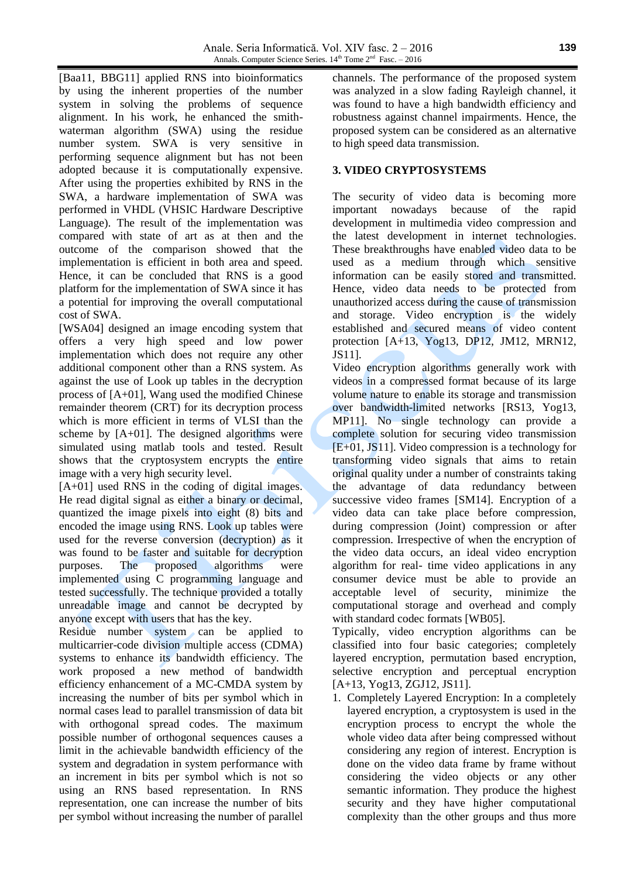[Baa11, BBG11] applied RNS into bioinformatics by using the inherent properties of the number system in solving the problems of sequence alignment. In his work, he enhanced the smithwaterman algorithm (SWA) using the residue number system. SWA is very sensitive in performing sequence alignment but has not been adopted because it is computationally expensive. After using the properties exhibited by RNS in the SWA, a hardware implementation of SWA was performed in VHDL (VHSIC Hardware Descriptive Language). The result of the implementation was compared with state of art as at then and the outcome of the comparison showed that the implementation is efficient in both area and speed. Hence, it can be concluded that RNS is a good platform for the implementation of SWA since it has a potential for improving the overall computational cost of SWA.

[WSA04] designed an image encoding system that offers a very high speed and low power implementation which does not require any other additional component other than a RNS system. As against the use of Look up tables in the decryption process of [A+01], Wang used the modified Chinese remainder theorem (CRT) for its decryption process which is more efficient in terms of VLSI than the scheme by  $[A+01]$ . The designed algorithms were simulated using matlab tools and tested. Result shows that the cryptosystem encrypts the entire image with a very high security level.

[A+01] used RNS in the coding of digital images. He read digital signal as either a binary or decimal, quantized the image pixels into eight (8) bits and encoded the image using RNS. Look up tables were used for the reverse conversion (decryption) as it was found to be faster and suitable for decryption purposes. The proposed algorithms were implemented using C programming language and tested successfully. The technique provided a totally unreadable image and cannot be decrypted by anyone except with users that has the key.

Residue number system can be applied to multicarrier-code division multiple access (CDMA) systems to enhance its bandwidth efficiency. The work proposed a new method of bandwidth efficiency enhancement of a MC-CMDA system by increasing the number of bits per symbol which in normal cases lead to parallel transmission of data bit with orthogonal spread codes. The maximum possible number of orthogonal sequences causes a limit in the achievable bandwidth efficiency of the system and degradation in system performance with an increment in bits per symbol which is not so using an RNS based representation. In RNS representation, one can increase the number of bits per symbol without increasing the number of parallel

channels. The performance of the proposed system was analyzed in a slow fading Rayleigh channel, it was found to have a high bandwidth efficiency and robustness against channel impairments. Hence, the proposed system can be considered as an alternative to high speed data transmission.

## **3. VIDEO CRYPTOSYSTEMS**

The security of video data is becoming more important nowadays because of the rapid development in multimedia video compression and the latest development in internet technologies. These breakthroughs have enabled video data to be used as a medium through which sensitive information can be easily stored and transmitted. Hence, video data needs to be protected from unauthorized access during the cause of transmission and storage. Video encryption is the widely established and secured means of video content protection [A+13, Yog13, DP12, JM12, MRN12, JS11].

Video encryption algorithms generally work with videos in a compressed format because of its large volume nature to enable its storage and transmission over bandwidth-limited networks [RS13, Yog13, MP11]. No single technology can provide a complete solution for securing video transmission [E+01, JS11]. Video compression is a technology for transforming video signals that aims to retain original quality under a number of constraints taking the advantage of data redundancy between successive video frames [SM14]. Encryption of a video data can take place before compression, during compression (Joint) compression or after compression. Irrespective of when the encryption of the video data occurs, an ideal video encryption algorithm for real- time video applications in any consumer device must be able to provide an acceptable level of security, minimize the computational storage and overhead and comply with standard codec formats [WB05].

Typically, video encryption algorithms can be classified into four basic categories; completely layered encryption, permutation based encryption, selective encryption and perceptual encryption [A+13, Yog13, ZGJ12, JS11].

1. Completely Layered Encryption: In a completely layered encryption, a cryptosystem is used in the encryption process to encrypt the whole the whole video data after being compressed without considering any region of interest. Encryption is done on the video data frame by frame without considering the video objects or any other semantic information. They produce the highest security and they have higher computational complexity than the other groups and thus more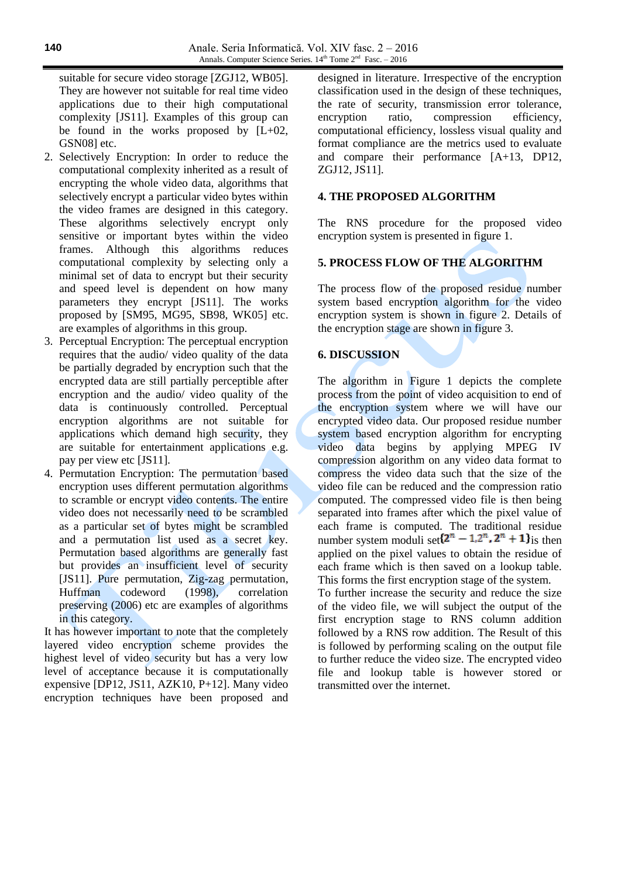suitable for secure video storage [ZGJ12, WB05]. They are however not suitable for real time video applications due to their high computational complexity [JS11]. Examples of this group can be found in the works proposed by [L+02, GSN08] etc.

- 2. Selectively Encryption: In order to reduce the computational complexity inherited as a result of encrypting the whole video data, algorithms that selectively encrypt a particular video bytes within the video frames are designed in this category. These algorithms selectively encrypt only sensitive or important bytes within the video frames. Although this algorithms reduces computational complexity by selecting only a minimal set of data to encrypt but their security and speed level is dependent on how many parameters they encrypt [JS11]. The works proposed by [SM95, MG95, SB98, WK05] etc. are examples of algorithms in this group.
- 3. Perceptual Encryption: The perceptual encryption requires that the audio/ video quality of the data be partially degraded by encryption such that the encrypted data are still partially perceptible after encryption and the audio/ video quality of the data is continuously controlled. Perceptual encryption algorithms are not suitable for applications which demand high security, they are suitable for entertainment applications e.g. pay per view etc [JS11].
- 4. Permutation Encryption: The permutation based encryption uses different permutation algorithms to scramble or encrypt video contents. The entire video does not necessarily need to be scrambled as a particular set of bytes might be scrambled and a permutation list used as a secret key. Permutation based algorithms are generally fast but provides an insufficient level of security [JS11]. Pure permutation, Zig-zag permutation, Huffman codeword (1998), correlation preserving (2006) etc are examples of algorithms in this category.

It has however important to note that the completely layered video encryption scheme provides the highest level of video security but has a very low level of acceptance because it is computationally expensive [DP12, JS11, AZK10, P+12]. Many video encryption techniques have been proposed and designed in literature. Irrespective of the encryption classification used in the design of these techniques, the rate of security, transmission error tolerance, encryption ratio, compression efficiency, computational efficiency, lossless visual quality and format compliance are the metrics used to evaluate and compare their performance [A+13, DP12, ZGJ12, JS11].

### **4. THE PROPOSED ALGORITHM**

The RNS procedure for the proposed video encryption system is presented in figure 1.

### **5. PROCESS FLOW OF THE ALGORITHM**

The process flow of the proposed residue number system based encryption algorithm for the video encryption system is shown in figure 2. Details of the encryption stage are shown in figure 3.

### **6. DISCUSSION**

The algorithm in Figure 1 depicts the complete process from the point of video acquisition to end of the encryption system where we will have our encrypted video data. Our proposed residue number system based encryption algorithm for encrypting video data begins by applying MPEG IV compression algorithm on any video data format to compress the video data such that the size of the video file can be reduced and the compression ratio computed. The compressed video file is then being separated into frames after which the pixel value of each frame is computed. The traditional residue number system moduli set $\{2^n - 1, 2^n, 2^n + 1\}$  is then applied on the pixel values to obtain the residue of each frame which is then saved on a lookup table. This forms the first encryption stage of the system.

To further increase the security and reduce the size of the video file, we will subject the output of the first encryption stage to RNS column addition followed by a RNS row addition. The Result of this is followed by performing scaling on the output file to further reduce the video size. The encrypted video file and lookup table is however stored or transmitted over the internet.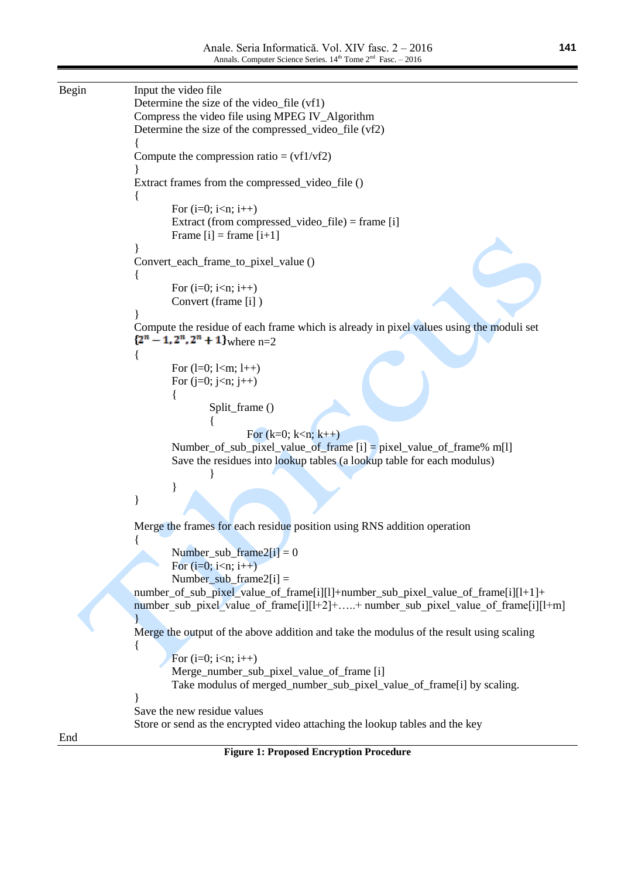```
Begin Input the video file
                Determine the size of the video_file (vf1)
                Compress the video file using MPEG IV_Algorithm
                Determine the size of the compressed_video_file (vf2)
                {
                Compute the compression ratio = (vf1/vf2)}
               Extract frames from the compressed_video_file ()
                {
                       For (i=0; i < n; i++)Extract (from compressed_video_file) = frame [i]
                       Frame [i] = frame [i+1]}
                Convert_each_frame_to_pixel_value ()
                {
                       For (i=0; i < n; i++)Convert (frame [i] )
                }
                Compute the residue of each frame which is already in pixel values using the moduli set 
                \{2^n - 1, 2^n, 2^n + 1\} where n=2
                {
                       For (l=0; 1 < m; 1++)For (j=0; j<n; j++){
                               Split_frame ()
                                {
                                       For (k=0; k< n; k++)Number_of_sub_pixel_value_of_frame [i] = pixel_value_of_frame% m[l]
                       Save the residues into lookup tables (a lookup table for each modulus)
                                }
                        }
                }
                Merge the frames for each residue position using RNS addition operation
                {
                       Number_sub_frame2[i] = 0For (i=0; i < n; i++)Number_sub_frame2[i] =
                number_of_sub_pixel_value_of_frame[i][l]+number_sub_pixel_value_of_frame[i][l+1]+ 
                number sub pixel value of frame[i][l+2]+…..+ number sub pixel value of frame[i][l+m]
                }
                Merge the output of the above addition and take the modulus of the result using scaling
                {
                       For (i=0; i<n; i++)Merge_number_sub_pixel_value_of_frame [i]
                       Take modulus of merged_number_sub_pixel_value_of_frame[i] by scaling.
                }
                Save the new residue values
               Store or send as the encrypted video attaching the lookup tables and the key
End
```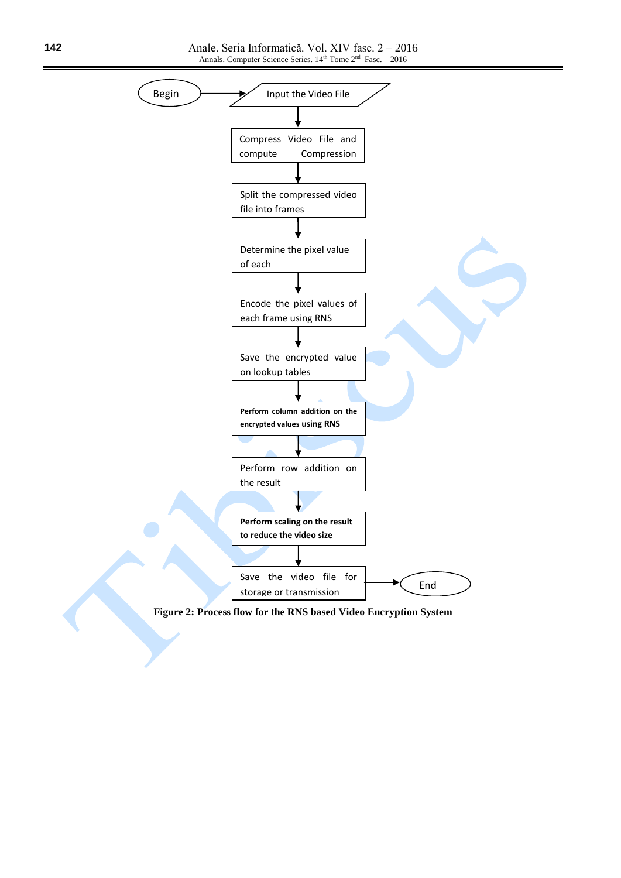

**Figure 2: Process flow for the RNS based Video Encryption System**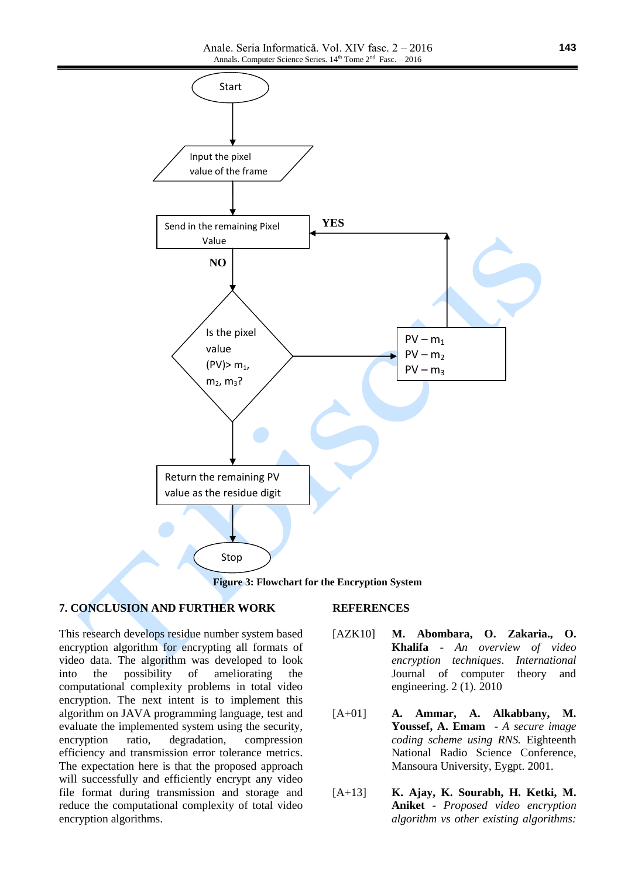

**Figure 3: Flowchart for the Encryption System**

#### **7. CONCLUSION AND FURTHER WORK**

This research develops residue number system based encryption algorithm for encrypting all formats of video data. The algorithm was developed to look into the possibility of ameliorating the computational complexity problems in total video encryption. The next intent is to implement this algorithm on JAVA programming language, test and evaluate the implemented system using the security, encryption ratio, degradation, compression efficiency and transmission error tolerance metrics. The expectation here is that the proposed approach will successfully and efficiently encrypt any video file format during transmission and storage and reduce the computational complexity of total video encryption algorithms.

#### **REFERENCES**

- [AZK10] **M. Abombara, O. Zakaria., O. Khalifa** - *An overview of video encryption techniques*. *International*  Journal of computer theory and engineering. 2 (1). 2010
- [A+01] **A. Ammar, A. Alkabbany, M. Youssef, A. Emam** - *A secure image coding scheme using RNS.* Eighteenth National Radio Science Conference, Mansoura University, Eygpt. 2001.
- [A+13] **K. Ajay, K. Sourabh, H. Ketki, M. Aniket** - *Proposed video encryption algorithm vs other existing algorithms:*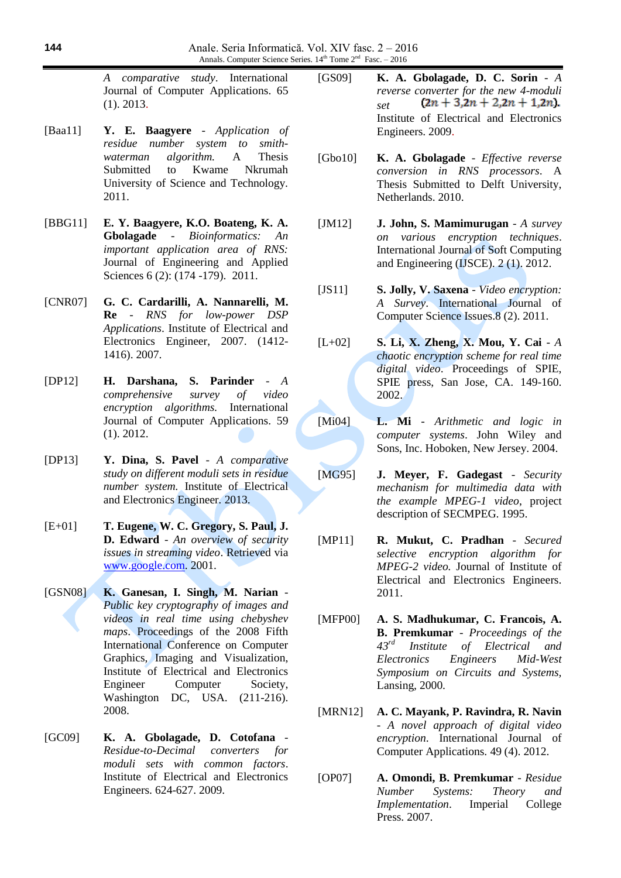*A comparative study*. International Journal of Computer Applications. 65 (1). 2013.

- [Baa11] **Y. E. Baagyere** *Application of residue number system to smithwaterman algorithm.* A Thesis Submitted to Kwame Nkrumah University of Science and Technology. 2011.
- [BBG11] **E. Y. Baagyere, K.O. Boateng, K. A. Gbolagade** - *Bioinformatics: An important application area of RNS:* Journal of Engineering and Applied Sciences 6 (2): (174 -179). 2011.
- [CNR07] **G. C. Cardarilli, A. Nannarelli, M. Re** - *RNS for low-power DSP Applications*. Institute of Electrical and Electronics Engineer, 2007. (1412- 1416). 2007.
- [DP12] **H. Darshana, S. Parinder** *A comprehensive survey of video encryption algorithms.* International Journal of Computer Applications. 59 (1). 2012.
- [DP13] **Y. Dina, S. Pavel**  *A comparative study on different moduli sets in residue number system.* Institute of Electrical and Electronics Engineer*.* 2013.
- [E+01] **T. Eugene, W. C. Gregory, S. Paul, J. D. Edward** - *An overview of security issues in streaming video*. Retrieved via [www.google.com.](http://www.google.com/) 2001.
- [GSN08] **K. Ganesan, I. Singh, M. Narian** *Public key cryptography of images and videos in real time using chebyshev maps*. Proceedings of the 2008 Fifth International Conference on Computer Graphics, Imaging and Visualization, Institute of Electrical and Electronics Engineer Computer Society, Washington DC, USA. (211-216). 2008.
- [GC09] **K. A. Gbolagade, D. Cotofana** *Residue-to-Decimal converters for moduli sets with common factors*. Institute of Electrical and Electronics Engineers. 624-627. 2009.
- [GS09] **K. A. Gbolagade, D. C. Sorin** *- A reverse converter for the new 4-moduli*<br>*set*  $(2n + 3,2n + 2,2n + 1,2n)$ . *set*  Institute of Electrical and Electronics Engineers. 2009.
- [Gbo10] **K. A. Gbolagade** *Effective reverse conversion in RNS processors*. A Thesis Submitted to Delft University, Netherlands. 2010.
- [JM12] **J. John, S. Mamimurugan** *A survey on various encryption techniques*. International Journal of Soft Computing and Engineering (IJSCE). 2 (1). 2012.
- [JS11] **S. Jolly, V. Saxena**  *Video encryption: A Survey*. International Journal of Computer Science Issues.8 (2). 2011.
- [L+02] **S. Li, X. Zheng, X. Mou, Y. Cai** *A chaotic encryption scheme for real time digital video*. Proceedings of SPIE, SPIE press, San Jose, CA. 149-160. 2002.
- [Mi04] **L. Mi** *Arithmetic and logic in computer systems*. John Wiley and Sons, Inc. Hoboken, New Jersey. 2004.
- [MG95] **J. Meyer, F. Gadegast** *Security mechanism for multimedia data with the example MPEG-1 video*, project description of SECMPEG. 1995.
- [MP11] **R. Mukut, C. Pradhan** *Secured selective encryption algorithm for MPEG-2 video.* Journal of Institute of Electrical and Electronics Engineers. 2011.
- [MFP00] **A. S. Madhukumar, C. Francois, A. B. Premkumar** - *Proceedings of the 43rd Institute of Electrical and Electronics Engineers Mid-West Symposium on Circuits and Systems,*  Lansing, 2000.
- [MRN12] **A. C. Mayank, P. Ravindra, R. Navin** - *A novel approach of digital video encryption*. International Journal of Computer Applications. 49 (4). 2012.
- [OP07] **A. Omondi, B. Premkumar** *Residue Number Systems: Theory and Implementation*. Imperial College Press. 2007.